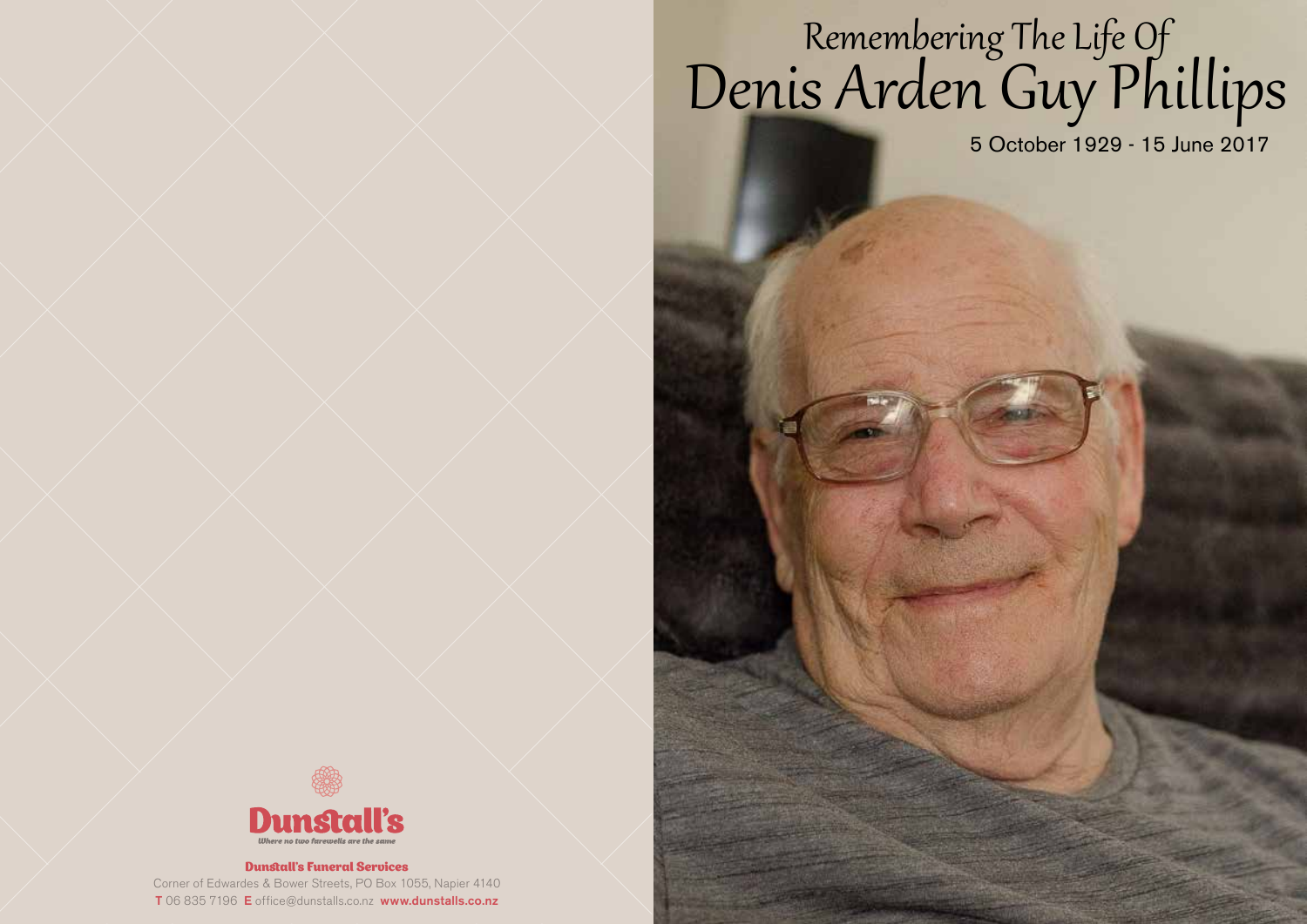# Remembering The Life Of Denis Arden Guy Phillips

5 October 1929 - 15 June 2017



#### Dunstall's Funeral Services

Corner of Edwardes & Bower Streets, PO Box 1055, Napier 4140 T 06 835 7196 E office@dunstalls.co.nz www.dunstalls.co.nz